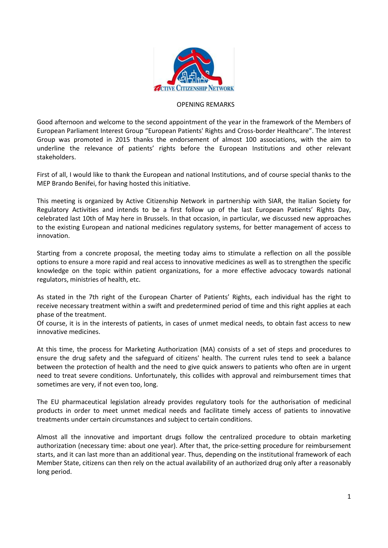

## OPENING REMARKS

Good afternoon and welcome to the second appointment of the year in the framework of the Members of European Parliament Interest Group "European Patients' Rights and Cross-border Healthcare". The Interest Group was promoted in 2015 thanks the endorsement of almost 100 associations, with the aim to underline the relevance of patients' rights before the European Institutions and other relevant stakeholders.

First of all, I would like to thank the European and national Institutions, and of course special thanks to the MEP Brando Benifei, for having hosted this initiative.

This meeting is organized by Active Citizenship Network in partnership with SIAR, the Italian Society for Regulatory Activities and intends to be a first follow up of the last European Patients' Rights Day, celebrated last 10th of May here in Brussels. In that occasion, in particular, we discussed new approaches to the existing European and national medicines regulatory systems, for better management of access to innovation.

Starting from a concrete proposal, the meeting today aims to stimulate a reflection on all the possible options to ensure a more rapid and real access to innovative medicines as well as to strengthen the specific knowledge on the topic within patient organizations, for a more effective advocacy towards national regulators, ministries of health, etc.

As stated in the 7th right of the European Charter of Patients' Rights, each individual has the right to receive necessary treatment within a swift and predetermined period of time and this right applies at each phase of the treatment.

Of course, it is in the interests of patients, in cases of unmet medical needs, to obtain fast access to new innovative medicines.

At this time, the process for Marketing Authorization (MA) consists of a set of steps and procedures to ensure the drug safety and the safeguard of citizens' health. The current rules tend to seek a balance between the protection of health and the need to give quick answers to patients who often are in urgent need to treat severe conditions. Unfortunately, this collides with approval and reimbursement times that sometimes are very, if not even too, long.

The EU pharmaceutical legislation already provides regulatory tools for the authorisation of medicinal products in order to meet unmet medical needs and facilitate timely access of patients to innovative treatments under certain circumstances and subject to certain conditions.

Almost all the innovative and important drugs follow the centralized procedure to obtain marketing authorization (necessary time: about one year). After that, the price-setting procedure for reimbursement starts, and it can last more than an additional year. Thus, depending on the institutional framework of each Member State, citizens can then rely on the actual availability of an authorized drug only after a reasonably long period.